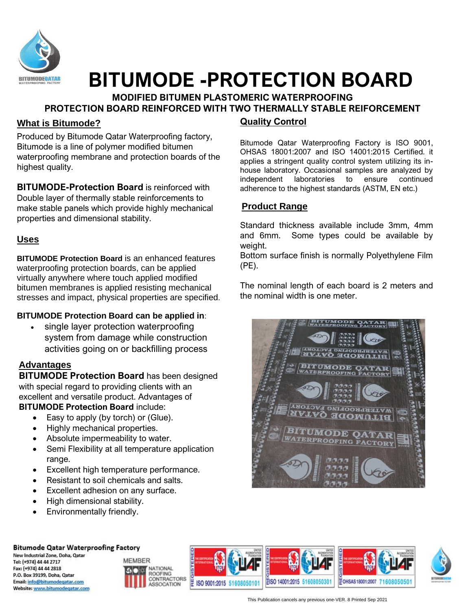

# **BITUMODE -PROTECTION BOARD**

#### **MODIFIED BITUMEN PLASTOMERIC WATERPROOFING PROTECTION BOARD REINFORCED WITH TWO THERMALLY STABLE REIFORCEMENT**

# **What is Bitumode?**

Produced by Bitumode Qatar Waterproofing factory, Bitumode is a line of polymer modified bitumen waterproofing membrane and protection boards of the highest quality.

**BITUMODE-Protection Board** is reinforced with Double layer of thermally stable reinforcements to make stable panels which provide highly mechanical properties and dimensional stability.

# **Uses**

**BITUMODE Protection Board** is an enhanced features waterproofing protection boards, can be applied virtually anywhere where touch applied modified bitumen membranes is applied resisting mechanical stresses and impact, physical properties are specified.

#### **BITUMODE Protection Board can be applied in**:

single layer protection waterproofing system from damage while construction activities going on or backfilling process

#### $m_{\rm max}$ **SA Advantages**

**BITUMODE Protection Board** has been designed with special regard to providing clients with an excellent and versatile product. Advantages of **BITUMODE Protection Board** include:

- Easy to apply (by torch) or (Glue).
- Highly mechanical properties.
- Absolute impermeability to water.
- Semi Flexibility at all temperature application range.
- Excellent high temperature performance.
- Resistant to soil chemicals and salts.
- Excellent adhesion on any surface.
- High dimensional stability.
- Environmentally friendly.

# **Quality Control**

Bitumode Qatar Waterproofing Factory is ISO 9001, OHSAS 18001:2007 and ISO 14001:2015 Certified. it applies a stringent quality control system utilizing its inhouse laboratory. Occasional samples are analyzed by independent laboratories to ensure continued adherence to the highest standards (ASTM, EN etc.)

# **Product Range**

Standard thickness available include 3mm, 4mm and 6mm. Some types could be available by weight.

Bottom surface finish is normally Polyethylene Film (PE).

The nominal length of each board is 2 meters and the nominal width is one meter.





New Industrial Zone, Doha, Qatar Tel: (+974) 44 44 2717 Fax: (+974) 44 44 2818 P.O. Box 39199, Doha, Qatar Email: info@bitumodegatar.com Website: www.bitumodegatar.com